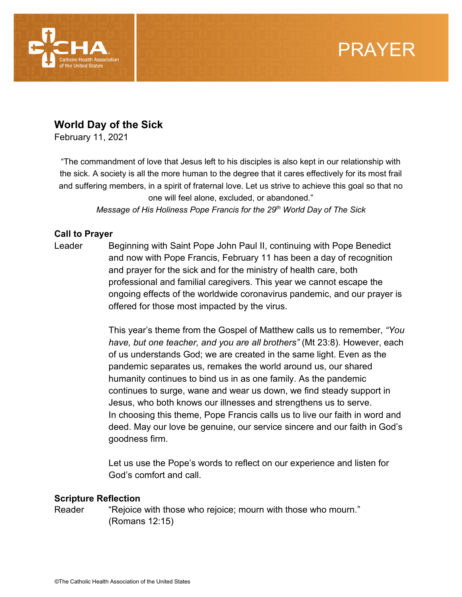

# PRAYER

## **World Day of the Sick**

February 11, 2021

"The commandment of love that Jesus left to his disciples is also kept in our relationship with the sick. A society is all the more human to the degree that it cares effectively for its most frail and suffering members, in a spirit of fraternal love. Let us strive to achieve this goal so that no one will feel alone, excluded, or abandoned."

*Message of His Holiness Pope Francis for the 29th World Day of The Sick*

### **Call to Prayer**

Leader Beginning with Saint Pope John Paul II, continuing with Pope Benedict and now with Pope Francis, February 11 has been a day of recognition and prayer for the sick and for the ministry of health care, both professional and familial caregivers. This year we cannot escape the ongoing effects of the worldwide coronavirus pandemic, and our prayer is offered for those most impacted by the virus.

> This year's theme from the Gospel of Matthew calls us to remember, *"You have, but one teacher, and you are all brothers"* (Mt 23:8). However, each of us understands God; we are created in the same light. Even as the pandemic separates us, remakes the world around us, our shared humanity continues to bind us in as one family. As the pandemic continues to surge, wane and wear us down, we find steady support in Jesus, who both knows our illnesses and strengthens us to serve. In choosing this theme, Pope Francis calls us to live our faith in word and deed. May our love be genuine, our service sincere and our faith in God's goodness firm.

Let us use the Pope's words to reflect on our experience and listen for God's comfort and call.

#### **Scripture Reflection**

Reader "Rejoice with those who rejoice; mourn with those who mourn." (Romans 12:15)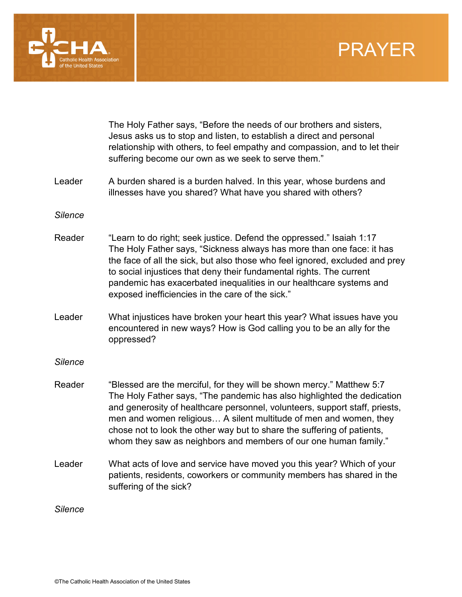



|                | The Holy Father says, "Before the needs of our brothers and sisters,<br>Jesus asks us to stop and listen, to establish a direct and personal<br>relationship with others, to feel empathy and compassion, and to let their<br>suffering become our own as we seek to serve them."                                                                                                                                                                   |
|----------------|-----------------------------------------------------------------------------------------------------------------------------------------------------------------------------------------------------------------------------------------------------------------------------------------------------------------------------------------------------------------------------------------------------------------------------------------------------|
| Leader         | A burden shared is a burden halved. In this year, whose burdens and<br>illnesses have you shared? What have you shared with others?                                                                                                                                                                                                                                                                                                                 |
| <b>Silence</b> |                                                                                                                                                                                                                                                                                                                                                                                                                                                     |
| Reader         | "Learn to do right; seek justice. Defend the oppressed." Isaiah 1:17<br>The Holy Father says, "Sickness always has more than one face: it has<br>the face of all the sick, but also those who feel ignored, excluded and prey<br>to social injustices that deny their fundamental rights. The current<br>pandemic has exacerbated inequalities in our healthcare systems and<br>exposed inefficiencies in the care of the sick."                    |
| Leader         | What injustices have broken your heart this year? What issues have you<br>encountered in new ways? How is God calling you to be an ally for the<br>oppressed?                                                                                                                                                                                                                                                                                       |
| <b>Silence</b> |                                                                                                                                                                                                                                                                                                                                                                                                                                                     |
| Reader         | "Blessed are the merciful, for they will be shown mercy." Matthew 5:7<br>The Holy Father says, "The pandemic has also highlighted the dedication<br>and generosity of healthcare personnel, volunteers, support staff, priests,<br>men and women religious A silent multitude of men and women, they<br>chose not to look the other way but to share the suffering of patients,<br>whom they saw as neighbors and members of our one human family." |
| Leader         | What acts of love and service have moved you this year? Which of your<br>patients, residents, coworkers or community members has shared in the<br>suffering of the sick?                                                                                                                                                                                                                                                                            |
| <b>Silence</b> |                                                                                                                                                                                                                                                                                                                                                                                                                                                     |